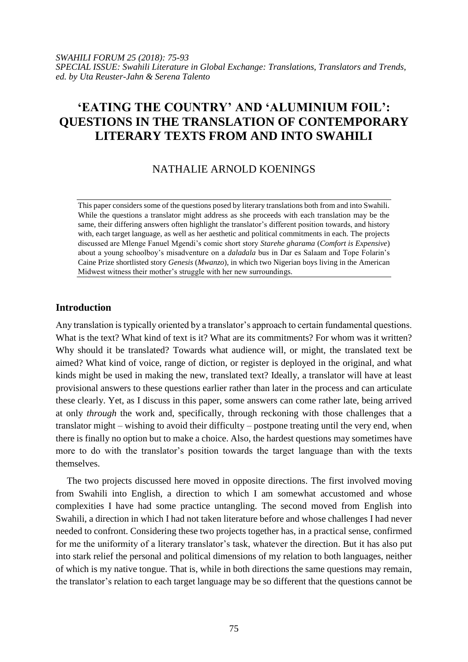# **'EATING THE COUNTRY' AND 'ALUMINIUM FOIL': QUESTIONS IN THE TRANSLATION OF CONTEMPORARY LITERARY TEXTS FROM AND INTO SWAHILI**

# NATHALIE ARNOLD KOENINGS

This paper considers some of the questions posed by literary translations both from and into Swahili. While the questions a translator might address as she proceeds with each translation may be the same, their differing answers often highlight the translator's different position towards, and history with, each target language, as well as her aesthetic and political commitments in each. The projects discussed are Mlenge Fanuel Mgendi's comic short story *Starehe gharama* (*Comfort is Expensive*) about a young schoolboy's misadventure on a *daladala* bus in Dar es Salaam and Tope Folarin's Caine Prize shortlisted story *Genesis* (*Mwanzo*), in which two Nigerian boys living in the American Midwest witness their mother's struggle with her new surroundings.

# **Introduction**

Any translation is typically oriented by a translator's approach to certain fundamental questions. What is the text? What kind of text is it? What are its commitments? For whom was it written? Why should it be translated? Towards what audience will, or might, the translated text be aimed? What kind of voice, range of diction, or register is deployed in the original, and what kinds might be used in making the new, translated text? Ideally, a translator will have at least provisional answers to these questions earlier rather than later in the process and can articulate these clearly. Yet, as I discuss in this paper, some answers can come rather late, being arrived at only *through* the work and, specifically, through reckoning with those challenges that a translator might – wishing to avoid their difficulty – postpone treating until the very end, when there is finally no option but to make a choice. Also, the hardest questions may sometimes have more to do with the translator's position towards the target language than with the texts themselves.

The two projects discussed here moved in opposite directions. The first involved moving from Swahili into English, a direction to which I am somewhat accustomed and whose complexities I have had some practice untangling. The second moved from English into Swahili, a direction in which I had not taken literature before and whose challenges I had never needed to confront. Considering these two projects together has, in a practical sense, confirmed for me the uniformity of a literary translator's task, whatever the direction. But it has also put into stark relief the personal and political dimensions of my relation to both languages, neither of which is my native tongue. That is, while in both directions the same questions may remain, the translator's relation to each target language may be so different that the questions cannot be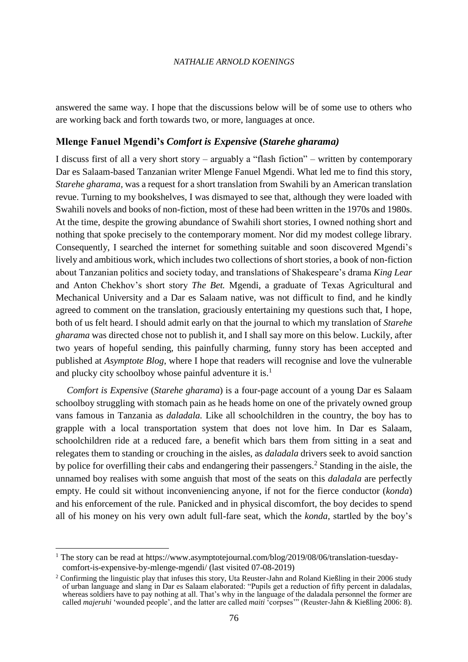answered the same way. I hope that the discussions below will be of some use to others who are working back and forth towards two, or more, languages at once.

# **Mlenge Fanuel Mgendi's** *Comfort is Expensive* **(***Starehe gharama)*

I discuss first of all a very short story – arguably a "flash fiction" – written by contemporary Dar es Salaam-based Tanzanian writer Mlenge Fanuel Mgendi. What led me to find this story, *Starehe gharama,* was a request for a short translation from Swahili by an American translation revue. Turning to my bookshelves, I was dismayed to see that, although they were loaded with Swahili novels and books of non-fiction, most of these had been written in the 1970s and 1980s. At the time, despite the growing abundance of Swahili short stories, I owned nothing short and nothing that spoke precisely to the contemporary moment. Nor did my modest college library. Consequently, I searched the internet for something suitable and soon discovered Mgendi's lively and ambitious work, which includes two collections of short stories, a book of non-fiction about Tanzanian politics and society today, and translations of Shakespeare's drama *King Lear* and Anton Chekhov's short story *The Bet.* Mgendi, a graduate of Texas Agricultural and Mechanical University and a Dar es Salaam native, was not difficult to find, and he kindly agreed to comment on the translation, graciously entertaining my questions such that, I hope, both of us felt heard. I should admit early on that the journal to which my translation of *Starehe gharama* was directed chose not to publish it, and I shall say more on this below. Luckily, after two years of hopeful sending, this painfully charming, funny story has been accepted and published at *Asymptote Blog*, where I hope that readers will recognise and love the vulnerable and plucky city schoolboy whose painful adventure it is.<sup>1</sup>

*Comfort is Expensive* (*Starehe gharama*) is a four-page account of a young Dar es Salaam schoolboy struggling with stomach pain as he heads home on one of the privately owned group vans famous in Tanzania as *daladala.* Like all schoolchildren in the country, the boy has to grapple with a local transportation system that does not love him. In Dar es Salaam, schoolchildren ride at a reduced fare, a benefit which bars them from sitting in a seat and relegates them to standing or crouching in the aisles, as *daladala* drivers seek to avoid sanction by police for overfilling their cabs and endangering their passengers.<sup>2</sup> Standing in the aisle, the unnamed boy realises with some anguish that most of the seats on this *daladala* are perfectly empty. He could sit without inconveniencing anyone, if not for the fierce conductor (*konda*) and his enforcement of the rule. Panicked and in physical discomfort, the boy decides to spend all of his money on his very own adult full-fare seat, which the *konda,* startled by the boy's

<sup>&</sup>lt;sup>1</sup> The story can be read at https://www.asymptotejournal.com/blog/2019/08/06/translation-tuesdaycomfort-is-expensive-by-mlenge-mgendi/ (last visited 07-08-2019)

 $2$  Confirming the linguistic play that infuses this story, Uta Reuster-Jahn and Roland Kießling in their 2006 study of urban language and slang in Dar es Salaam elaborated: "Pupils get a reduction of fifty percent in daladalas, whereas soldiers have to pay nothing at all. That's why in the language of the daladala personnel the former are called *majeruhi* 'wounded people', and the latter are called *maiti* 'corpses'" (Reuster-Jahn & Kießling 2006: 8).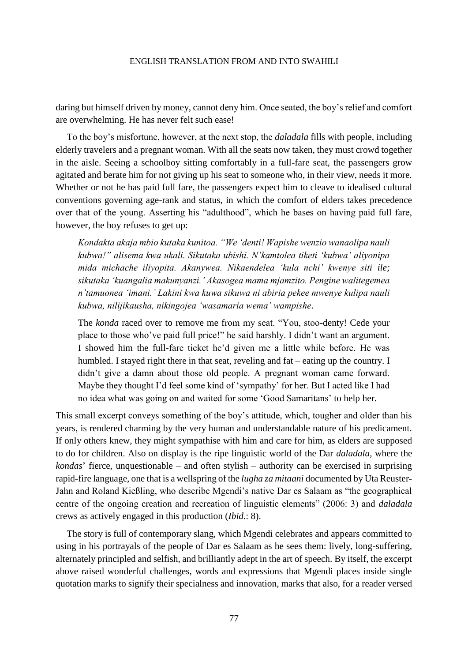daring but himself driven by money, cannot deny him. Once seated, the boy's relief and comfort are overwhelming. He has never felt such ease!

To the boy's misfortune, however, at the next stop, the *daladala* fills with people, including elderly travelers and a pregnant woman. With all the seats now taken, they must crowd together in the aisle. Seeing a schoolboy sitting comfortably in a full-fare seat, the passengers grow agitated and berate him for not giving up his seat to someone who, in their view, needs it more. Whether or not he has paid full fare, the passengers expect him to cleave to idealised cultural conventions governing age-rank and status, in which the comfort of elders takes precedence over that of the young. Asserting his "adulthood", which he bases on having paid full fare, however, the boy refuses to get up:

*Kondakta akaja mbio kutaka kunitoa. "We 'denti! Wapishe wenzio wanaolipa nauli kubwa!" alisema kwa ukali. Sikutaka ubishi. N'kamtolea tiketi 'kubwa' aliyonipa mida michache iliyopita. Akanywea. Nikaendelea 'kula nchi' kwenye siti ile; sikutaka 'kuangalia makunyanzi.' Akasogea mama mjamzito. Pengine walitegemea n'tamuonea 'imani.' Lakini kwa kuwa sikuwa ni abiria pekee mwenye kulipa nauli kubwa, nilijikausha, nikingojea 'wasamaria wema' wampishe*.

The *konda* raced over to remove me from my seat. "You, stoo-denty! Cede your place to those who've paid full price!" he said harshly. I didn't want an argument. I showed him the full-fare ticket he'd given me a little while before. He was humbled. I stayed right there in that seat, reveling and fat – eating up the country. I didn't give a damn about those old people. A pregnant woman came forward. Maybe they thought I'd feel some kind of 'sympathy' for her. But I acted like I had no idea what was going on and waited for some 'Good Samaritans' to help her.

This small excerpt conveys something of the boy's attitude, which, tougher and older than his years, is rendered charming by the very human and understandable nature of his predicament. If only others knew, they might sympathise with him and care for him, as elders are supposed to do for children. Also on display is the ripe linguistic world of the Dar *daladala*, where the *kondas*' fierce, unquestionable – and often stylish – authority can be exercised in surprising rapid-fire language, one that is a wellspring of the *lugha za mitaani* documented by Uta Reuster-Jahn and Roland Kießling, who describe Mgendi's native Dar es Salaam as "the geographical centre of the ongoing creation and recreation of linguistic elements" (2006: 3) and *daladala*  crews as actively engaged in this production (*Ibid.*: 8).

The story is full of contemporary slang, which Mgendi celebrates and appears committed to using in his portrayals of the people of Dar es Salaam as he sees them: lively, long-suffering, alternately principled and selfish, and brilliantly adept in the art of speech. By itself, the excerpt above raised wonderful challenges, words and expressions that Mgendi places inside single quotation marks to signify their specialness and innovation, marks that also, for a reader versed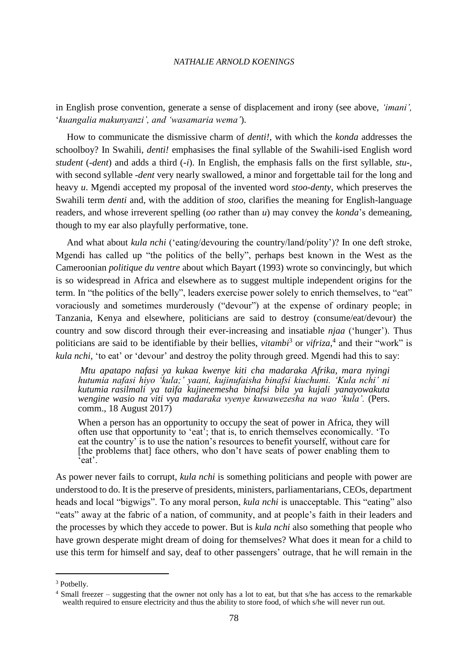in English prose convention, generate a sense of displacement and irony (see above, *'imani',*  '*kuangalia makunyanzi', and 'wasamaria wema'*).

How to communicate the dismissive charm of *denti!*, with which the *konda* addresses the schoolboy? In Swahili, *denti!* emphasises the final syllable of the Swahili-ised English word *student* (-*dent*) and adds a third (*-i*). In English, the emphasis falls on the first syllable, *stu-*, with second syllable *-dent* very nearly swallowed, a minor and forgettable tail for the long and heavy *u*. Mgendi accepted my proposal of the invented word *stoo-denty*, which preserves the Swahili term *denti* and, with the addition of *stoo*, clarifies the meaning for English-language readers, and whose irreverent spelling (*oo* rather than *u*) may convey the *konda*'s demeaning, though to my ear also playfully performative, tone.

And what about *kula nchi* ('eating/devouring the country/land/polity')? In one deft stroke, Mgendi has called up "the politics of the belly", perhaps best known in the West as the Cameroonian *politique du ventre* about which Bayart (1993) wrote so convincingly, but which is so widespread in Africa and elsewhere as to suggest multiple independent origins for the term. In "the politics of the belly", leaders exercise power solely to enrich themselves, to "eat" voraciously and sometimes murderously ("devour") at the expense of ordinary people; in Tanzania, Kenya and elsewhere, politicians are said to destroy (consume/eat/devour) the country and sow discord through their ever-increasing and insatiable *njaa* ('hunger'). Thus politicians are said to be identifiable by their bellies, *vitambi*<sup>3</sup> or *vifriza*,<sup>4</sup> and their "work" is *kula nchi,* 'to eat' or 'devour' and destroy the polity through greed. Mgendi had this to say:

*Mtu apatapo nafasi ya kukaa kwenye kiti cha madaraka Afrika, mara nyingi hutumia nafasi hiyo 'kula;' yaani, kujinufaisha binafsi kiuchumi. 'Kula nchi' ni kutumia rasilmali ya taifa kujineemesha binafsi bila ya kujali yanayowakuta wengine wasio na viti vya madaraka vyenye kuwawezesha na wao 'kula'.* (Pers. comm., 18 August 2017)

When a person has an opportunity to occupy the seat of power in Africa, they will often use that opportunity to 'eat'; that is, to enrich themselves economically. 'To eat the country' is to use the nation's resources to benefit yourself, without care for [the problems that] face others, who don't have seats of power enabling them to 'eat'.

As power never fails to corrupt, *kula nchi* is something politicians and people with power are understood to do. It is the preserve of presidents, ministers, parliamentarians, CEOs, department heads and local "bigwigs". To any moral person, *kula nchi* is unacceptable. This "eating" also "eats" away at the fabric of a nation, of community, and at people's faith in their leaders and the processes by which they accede to power. But is *kula nchi* also something that people who have grown desperate might dream of doing for themselves? What does it mean for a child to use this term for himself and say, deaf to other passengers' outrage, that he will remain in the

<sup>&</sup>lt;sup>3</sup> Potbelly.

<sup>4</sup> Small freezer – suggesting that the owner not only has a lot to eat, but that s/he has access to the remarkable wealth required to ensure electricity and thus the ability to store food, of which s/he will never run out.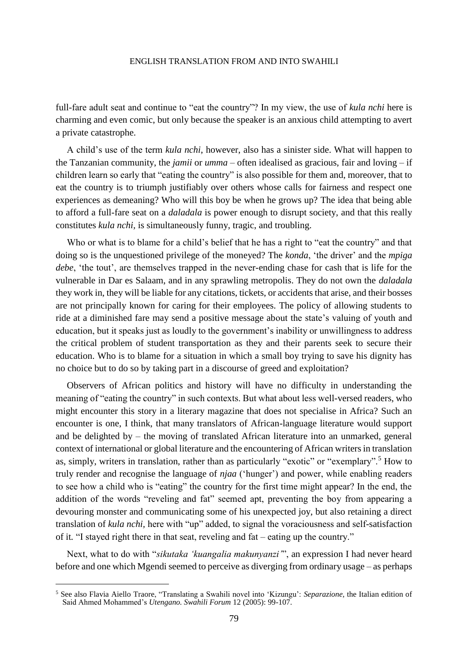full-fare adult seat and continue to "eat the country"? In my view, the use of *kula nchi* here is charming and even comic, but only because the speaker is an anxious child attempting to avert a private catastrophe.

A child's use of the term *kula nchi*, however, also has a sinister side. What will happen to the Tanzanian community, the *jamii* or *umma –* often idealised as gracious, fair and loving – if children learn so early that "eating the country" is also possible for them and, moreover, that to eat the country is to triumph justifiably over others whose calls for fairness and respect one experiences as demeaning? Who will this boy be when he grows up? The idea that being able to afford a full-fare seat on a *daladala* is power enough to disrupt society, and that this really constitutes *kula nchi,* is simultaneously funny, tragic, and troubling.

Who or what is to blame for a child's belief that he has a right to "eat the country" and that doing so is the unquestioned privilege of the moneyed? The *konda*, 'the driver' and the *mpiga debe*, 'the tout', are themselves trapped in the never-ending chase for cash that is life for the vulnerable in Dar es Salaam, and in any sprawling metropolis. They do not own the *daladala*  they work in, they will be liable for any citations, tickets, or accidents that arise, and their bosses are not principally known for caring for their employees. The policy of allowing students to ride at a diminished fare may send a positive message about the state's valuing of youth and education, but it speaks just as loudly to the government's inability or unwillingness to address the critical problem of student transportation as they and their parents seek to secure their education. Who is to blame for a situation in which a small boy trying to save his dignity has no choice but to do so by taking part in a discourse of greed and exploitation?

Observers of African politics and history will have no difficulty in understanding the meaning of "eating the country" in such contexts. But what about less well-versed readers, who might encounter this story in a literary magazine that does not specialise in Africa? Such an encounter is one, I think, that many translators of African-language literature would support and be delighted by – the moving of translated African literature into an unmarked, general context of international or global literature and the encountering of African writers in translation as, simply, writers in translation, rather than as particularly "exotic" or "exemplary".<sup>5</sup> How to truly render and recognise the language of *njaa* ('hunger') and power, while enabling readers to see how a child who is "eating" the country for the first time might appear? In the end, the addition of the words "reveling and fat" seemed apt, preventing the boy from appearing a devouring monster and communicating some of his unexpected joy, but also retaining a direct translation of *kula nchi,* here with "up" added, to signal the voraciousness and self-satisfaction of it*.* "I stayed right there in that seat, reveling and fat – eating up the country."

Next, what to do with "*sikutaka 'kuangalia makunyanzi'*", an expression I had never heard before and one which Mgendi seemed to perceive as diverging from ordinary usage – as perhaps

<sup>5</sup> See also Flavia Aiello Traore, "Translating a Swahili novel into 'Kizungu': *Separazione,* the Italian edition of Said Ahmed Mohammed's *Utengano. Swahili Forum* 12 (2005): 99-107.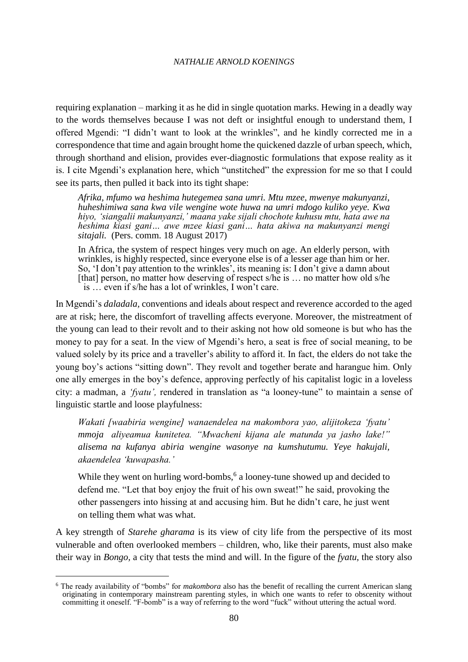requiring explanation – marking it as he did in single quotation marks. Hewing in a deadly way to the words themselves because I was not deft or insightful enough to understand them, I offered Mgendi: "I didn't want to look at the wrinkles", and he kindly corrected me in a correspondence that time and again brought home the quickened dazzle of urban speech, which, through shorthand and elision, provides ever-diagnostic formulations that expose reality as it is. I cite Mgendi's explanation here, which "unstitched" the expression for me so that I could see its parts, then pulled it back into its tight shape:

*Afrika, mfumo wa heshima hutegemea sana umri. Mtu mzee, mwenye makunyanzi, huheshimiwa sana kwa vile wengine wote huwa na umri mdogo kuliko yeye. Kwa hiyo, 'siangalii makunyanzi,' maana yake sijali chochote kuhusu mtu, hata awe na heshima kiasi gani… awe mzee kiasi gani… hata akiwa na makunyanzi mengi sitajali.* (Pers. comm. 18 August 2017)

In Africa, the system of respect hinges very much on age. An elderly person, with wrinkles, is highly respected, since everyone else is of a lesser age than him or her. So, 'I don't pay attention to the wrinkles', its meaning is: I don't give a damn about [that] person, no matter how deserving of respect s/he is … no matter how old s/he is … even if s/he has a lot of wrinkles, I won't care.

In Mgendi's *daladala,* conventions and ideals about respect and reverence accorded to the aged are at risk; here, the discomfort of travelling affects everyone. Moreover, the mistreatment of the young can lead to their revolt and to their asking not how old someone is but who has the money to pay for a seat. In the view of Mgendi's hero, a seat is free of social meaning, to be valued solely by its price and a traveller's ability to afford it. In fact, the elders do not take the young boy's actions "sitting down". They revolt and together berate and harangue him. Only one ally emerges in the boy's defence, approving perfectly of his capitalist logic in a loveless city: a madman, a *'fyatu',* rendered in translation as "a looney-tune" to maintain a sense of linguistic startle and loose playfulness:

*Wakati [waabiria wengine] wanaendelea na makombora yao, alijitokeza 'fyatu' mmoja aliyeamua kunitetea. "Mwacheni kijana ale matunda ya jasho lake!" alisema na kufanya abiria wengine wasonye na kumshutumu. Yeye hakujali, akaendelea 'kuwapasha.'* 

While they went on hurling word-bombs,<sup> $6$ </sup> a looney-tune showed up and decided to defend me. "Let that boy enjoy the fruit of his own sweat!" he said, provoking the other passengers into hissing at and accusing him. But he didn't care, he just went on telling them what was what.

A key strength of *Starehe gharama* is its view of city life from the perspective of its most vulnerable and often overlooked members – children, who, like their parents, must also make their way in *Bongo,* a city that tests the mind and will. In the figure of the *fyatu,* the story also

<sup>6</sup> The ready availability of "bombs" for *makombora* also has the benefit of recalling the current American slang originating in contemporary mainstream parenting styles, in which one wants to refer to obscenity without committing it oneself. "F-bomb" is a way of referring to the word "fuck" without uttering the actual word.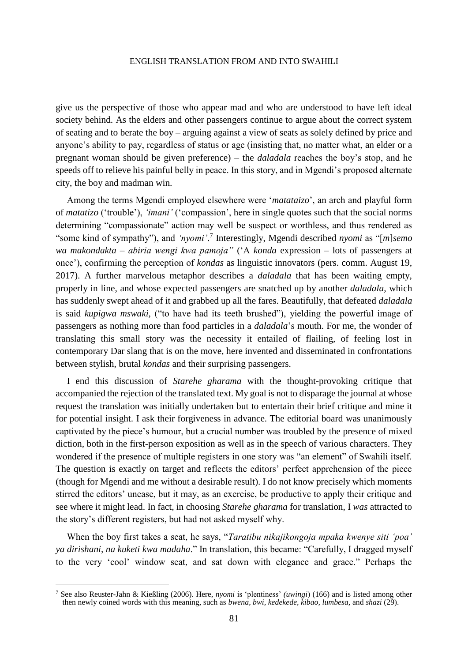give us the perspective of those who appear mad and who are understood to have left ideal society behind. As the elders and other passengers continue to argue about the correct system of seating and to berate the boy – arguing against a view of seats as solely defined by price and anyone's ability to pay, regardless of status or age (insisting that, no matter what, an elder or a pregnant woman should be given preference) – the *daladala* reaches the boy's stop, and he speeds off to relieve his painful belly in peace. In this story, and in Mgendi's proposed alternate city, the boy and madman win.

Among the terms Mgendi employed elsewhere were '*matataizo*', an arch and playful form of *matatizo* ('trouble'), *'imani'* ('compassion', here in single quotes such that the social norms determining "compassionate" action may well be suspect or worthless, and thus rendered as "some kind of sympathy"), and 'nyomi'.<sup>7</sup> Interestingly, Mgendi described *nyomi* as "[m]*semo wa makondakta – abiria wengi kwa pamoja"* ('A *konda* expression – lots of passengers at once'), confirming the perception of *kondas* as linguistic innovators (pers. comm. August 19, 2017). A further marvelous metaphor describes a *daladala* that has been waiting empty, properly in line, and whose expected passengers are snatched up by another *daladala*, which has suddenly swept ahead of it and grabbed up all the fares. Beautifully, that defeated *daladala*  is said *kupigwa mswaki,* ("to have had its teeth brushed"), yielding the powerful image of passengers as nothing more than food particles in a *daladala*'s mouth. For me, the wonder of translating this small story was the necessity it entailed of flailing, of feeling lost in contemporary Dar slang that is on the move, here invented and disseminated in confrontations between stylish, brutal *kondas* and their surprising passengers.

I end this discussion of *Starehe gharama* with the thought-provoking critique that accompanied the rejection of the translated text. My goal is not to disparage the journal at whose request the translation was initially undertaken but to entertain their brief critique and mine it for potential insight. I ask their forgiveness in advance. The editorial board was unanimously captivated by the piece's humour, but a crucial number was troubled by the presence of mixed diction, both in the first-person exposition as well as in the speech of various characters. They wondered if the presence of multiple registers in one story was "an element" of Swahili itself. The question is exactly on target and reflects the editors' perfect apprehension of the piece (though for Mgendi and me without a desirable result). I do not know precisely which moments stirred the editors' unease, but it may, as an exercise, be productive to apply their critique and see where it might lead. In fact, in choosing *Starehe gharama* for translation, I *was* attracted to the story's different registers, but had not asked myself why.

When the boy first takes a seat, he says, "*Taratibu nikajikongoja mpaka kwenye siti 'poa' ya dirishani, na kuketi kwa madaha*." In translation, this became: "Carefully, I dragged myself to the very 'cool' window seat, and sat down with elegance and grace." Perhaps the

<sup>7</sup> See also Reuster-Jahn & Kießling (2006). Here, *nyomi* is 'plentiness' *(uwingi*) (166) and is listed among other then newly coined words with this meaning, such as *bwena, bwi, kedekede, kibao, lumbesa,* and *shazi* (29).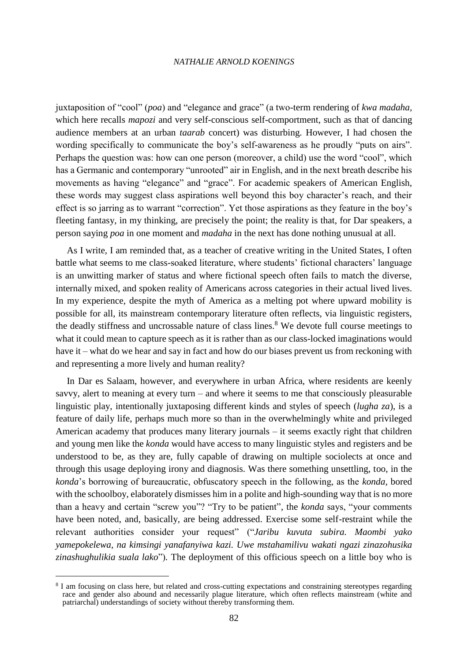juxtaposition of "cool" (*poa*) and "elegance and grace" (a two-term rendering of *kwa madaha,*  which here recalls *mapozi* and very self-conscious self-comportment, such as that of dancing audience members at an urban *taarab* concert) was disturbing. However, I had chosen the wording specifically to communicate the boy's self-awareness as he proudly "puts on airs". Perhaps the question was: how can one person (moreover, a child) use the word "cool", which has a Germanic and contemporary "unrooted" air in English, and in the next breath describe his movements as having "elegance" and "grace". For academic speakers of American English, these words may suggest class aspirations well beyond this boy character's reach, and their effect is so jarring as to warrant "correction". Yet those aspirations as they feature in the boy's fleeting fantasy, in my thinking, are precisely the point; the reality is that, for Dar speakers, a person saying *poa* in one moment and *madaha* in the next has done nothing unusual at all.

As I write, I am reminded that, as a teacher of creative writing in the United States, I often battle what seems to me class-soaked literature, where students' fictional characters' language is an unwitting marker of status and where fictional speech often fails to match the diverse, internally mixed, and spoken reality of Americans across categories in their actual lived lives. In my experience, despite the myth of America as a melting pot where upward mobility is possible for all, its mainstream contemporary literature often reflects, via linguistic registers, the deadly stiffness and uncrossable nature of class lines.<sup>8</sup> We devote full course meetings to what it could mean to capture speech as it is rather than as our class-locked imaginations would have it – what do we hear and say in fact and how do our biases prevent us from reckoning with and representing a more lively and human reality?

In Dar es Salaam, however, and everywhere in urban Africa, where residents are keenly savvy, alert to meaning at every turn – and where it seems to me that consciously pleasurable linguistic play, intentionally juxtaposing different kinds and styles of speech (*lugha za*), is a feature of daily life, perhaps much more so than in the overwhelmingly white and privileged American academy that produces many literary journals – it seems exactly right that children and young men like the *konda* would have access to many linguistic styles and registers and be understood to be, as they are, fully capable of drawing on multiple sociolects at once and through this usage deploying irony and diagnosis. Was there something unsettling, too, in the *konda*'s borrowing of bureaucratic, obfuscatory speech in the following, as the *konda,* bored with the schoolboy, elaborately dismisses him in a polite and high-sounding way that is no more than a heavy and certain "screw you"? "Try to be patient", the *konda* says, "your comments have been noted, and, basically, are being addressed. Exercise some self-restraint while the relevant authorities consider your request" ("*Jaribu kuvuta subira. Maombi yako yamepokelewa, na kimsingi yanafanyiwa kazi. Uwe mstahamilivu wakati ngazi zinazohusika zinashughulikia suala lako*")*.* The deployment of this officious speech on a little boy who is

<sup>&</sup>lt;sup>8</sup> I am focusing on class here, but related and cross-cutting expectations and constraining stereotypes regarding race and gender also abound and necessarily plague literature, which often reflects mainstream (white and patriarchal) understandings of society without thereby transforming them.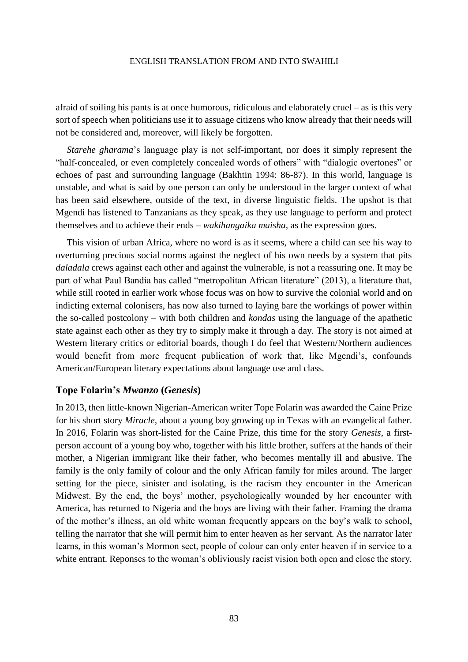afraid of soiling his pants is at once humorous, ridiculous and elaborately cruel – as is this very sort of speech when politicians use it to assuage citizens who know already that their needs will not be considered and, moreover, will likely be forgotten.

*Starehe gharama*'s language play is not self-important, nor does it simply represent the "half-concealed, or even completely concealed words of others" with "dialogic overtones" or echoes of past and surrounding language (Bakhtin 1994: 86-87). In this world, language is unstable, and what is said by one person can only be understood in the larger context of what has been said elsewhere, outside of the text, in diverse linguistic fields. The upshot is that Mgendi has listened to Tanzanians as they speak, as they use language to perform and protect themselves and to achieve their ends – *wakihangaika maisha,* as the expression goes.

This vision of urban Africa, where no word is as it seems, where a child can see his way to overturning precious social norms against the neglect of his own needs by a system that pits *daladala* crews against each other and against the vulnerable, is not a reassuring one. It may be part of what Paul Bandia has called "metropolitan African literature" (2013), a literature that, while still rooted in earlier work whose focus was on how to survive the colonial world and on indicting external colonisers, has now also turned to laying bare the workings of power within the so-called postcolony – with both children and *kondas* using the language of the apathetic state against each other as they try to simply make it through a day. The story is not aimed at Western literary critics or editorial boards, though I do feel that Western/Northern audiences would benefit from more frequent publication of work that, like Mgendi's, confounds American/European literary expectations about language use and class.

### **Tope Folarin's** *Mwanzo* **(***Genesis***)**

In 2013, then little-known Nigerian-American writer Tope Folarin was awarded the Caine Prize for his short story *Miracle,* about a young boy growing up in Texas with an evangelical father. In 2016, Folarin was short-listed for the Caine Prize, this time for the story *Genesis*, a firstperson account of a young boy who, together with his little brother, suffers at the hands of their mother, a Nigerian immigrant like their father, who becomes mentally ill and abusive. The family is the only family of colour and the only African family for miles around. The larger setting for the piece, sinister and isolating, is the racism they encounter in the American Midwest. By the end, the boys' mother, psychologically wounded by her encounter with America, has returned to Nigeria and the boys are living with their father. Framing the drama of the mother's illness, an old white woman frequently appears on the boy's walk to school, telling the narrator that she will permit him to enter heaven as her servant. As the narrator later learns, in this woman's Mormon sect, people of colour can only enter heaven if in service to a white entrant. Reponses to the woman's obliviously racist vision both open and close the story.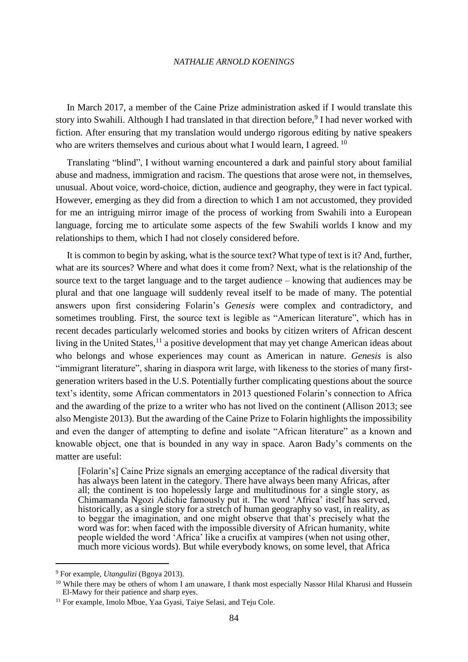In March 2017, a member of the Caine Prize administration asked if I would translate this story into Swahili. Although I had translated in that direction before,<sup>9</sup> I had never worked with fiction. After ensuring that my translation would undergo rigorous editing by native speakers who are writers themselves and curious about what I would learn, I agreed.  $^{10}$ 

Translating "blind", I without warning encountered a dark and painful story about familial abuse and madness, immigration and racism. The questions that arose were not, in themselves, unusual. About voice, word-choice, diction, audience and geography, they were in fact typical. However, emerging as they did from a direction to which I am not accustomed, they provided for me an intriguing mirror image of the process of working from Swahili into a European language, forcing me to articulate some aspects of the few Swahili worlds I know and my relationships to them, which I had not closely considered before.

It is common to begin by asking, what is the source text? What type of text is it? And, further, what are its sources? Where and what does it come from? Next, what is the relationship of the source text to the target language and to the target audience – knowing that audiences may be plural and that one language will suddenly reveal itself to be made of many. The potential answers upon first considering Folarin's *Genesis* were complex and contradictory, and sometimes troubling. First, the source text is legible as "American literature", which has in recent decades particularly welcomed stories and books by citizen writers of African descent living in the United States, $^{11}$  a positive development that may yet change American ideas about who belongs and whose experiences may count as American in nature. *Genesis* is also "immigrant literature", sharing in diaspora writ large, with likeness to the stories of many firstgeneration writers based in the U.S. Potentially further complicating questions about the source text's identity, some African commentators in 2013 questioned Folarin's connection to Africa and the awarding of the prize to a writer who has not lived on the continent (Allison 2013; see also Mengiste 2013). But the awarding of the Caine Prize to Folarin highlights the impossibility and even the danger of attempting to define and isolate "African literature" as a known and knowable object, one that is bounded in any way in space. Aaron Bady's comments on the matter are useful:

[Folarin's] Caine Prize signals an emerging acceptance of the radical diversity that has always been latent in the category. There have always been many Africas, after all; the continent is too hopelessly large and multitudinous for a single story, as Chimamanda Ngozi Adichie famously put it. The word 'Africa' itself has served, historically, as a single story for a stretch of human geography so vast, in reality, as to beggar the imagination, and one might observe that that's precisely what the word was for: when faced with the impossible diversity of African humanity, white people wielded the word 'Africa' like a crucifix at vampires (when not using other, much more vicious words). But while everybody knows, on some level, that Africa

<sup>9</sup> For example, *Utangulizi* (Bgoya 2013).

<sup>&</sup>lt;sup>10</sup> While there may be others of whom I am unaware, I thank most especially Nassor Hilal Kharusi and Hussein El-Mawy for their patience and sharp eyes.

<sup>&</sup>lt;sup>11</sup> For example, Imolo Mbue, Yaa Gyasi, Taiye Selasi, and Teju Cole.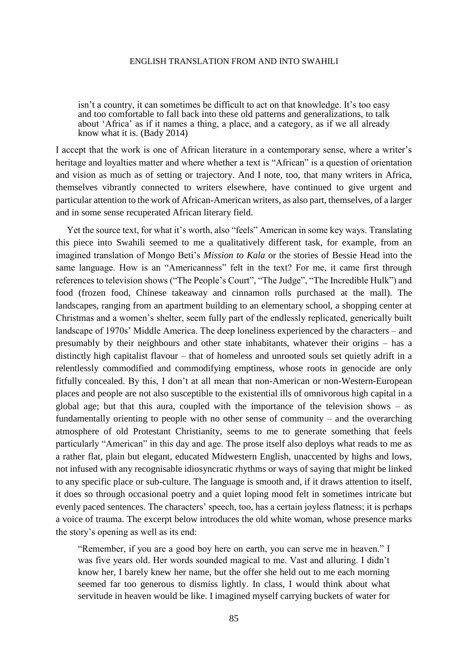isn't a country, it can sometimes be difficult to act on that knowledge. It's too easy and too comfortable to fall back into these old patterns and generalizations, to talk about 'Africa' as if it names a thing, a place, and a category, as if we all already know what it is. (Bady 2014)

I accept that the work is one of African literature in a contemporary sense, where a writer's heritage and loyalties matter and where whether a text is "African" is a question of orientation and vision as much as of setting or trajectory. And I note, too, that many writers in Africa, themselves vibrantly connected to writers elsewhere, have continued to give urgent and particular attention to the work of African-American writers, as also part, themselves, of a larger and in some sense recuperated African literary field.

Yet the source text, for what it's worth, also "feels" American in some key ways. Translating this piece into Swahili seemed to me a qualitatively different task, for example, from an imagined translation of Mongo Beti's *Mission to Kala* or the stories of Bessie Head into the same language. How is an "Americanness" felt in the text? For me, it came first through references to television shows ("The People's Court", "The Judge", "The Incredible Hulk") and food (frozen food, Chinese takeaway and cinnamon rolls purchased at the mall). The landscapes, ranging from an apartment building to an elementary school, a shopping center at Christmas and a women's shelter, seem fully part of the endlessly replicated, generically built landscape of 1970s' Middle America. The deep loneliness experienced by the characters – and presumably by their neighbours and other state inhabitants, whatever their origins – has a distinctly high capitalist flavour – that of homeless and unrooted souls set quietly adrift in a relentlessly commodified and commodifying emptiness, whose roots in genocide are only fitfully concealed. By this, I don't at all mean that non-American or non-Western-European places and people are not also susceptible to the existential ills of omnivorous high capital in a global age; but that this aura, coupled with the importance of the television shows – as fundamentally orienting to people with no other sense of community – and the overarching atmosphere of old Protestant Christianity, seems to me to generate something that feels particularly "American" in this day and age. The prose itself also deploys what reads to me as a rather flat, plain but elegant, educated Midwestern English, unaccented by highs and lows, not infused with any recognisable idiosyncratic rhythms or ways of saying that might be linked to any specific place or sub-culture. The language is smooth and, if it draws attention to itself, it does so through occasional poetry and a quiet loping mood felt in sometimes intricate but evenly paced sentences. The characters' speech, too, has a certain joyless flatness; it is perhaps a voice of trauma. The excerpt below introduces the old white woman, whose presence marks the story's opening as well as its end:

"Remember, if you are a good boy here on earth, you can serve me in heaven." I was five years old. Her words sounded magical to me. Vast and alluring. I didn't know her, I barely knew her name, but the offer she held out to me each morning seemed far too generous to dismiss lightly. In class, I would think about what servitude in heaven would be like. I imagined myself carrying buckets of water for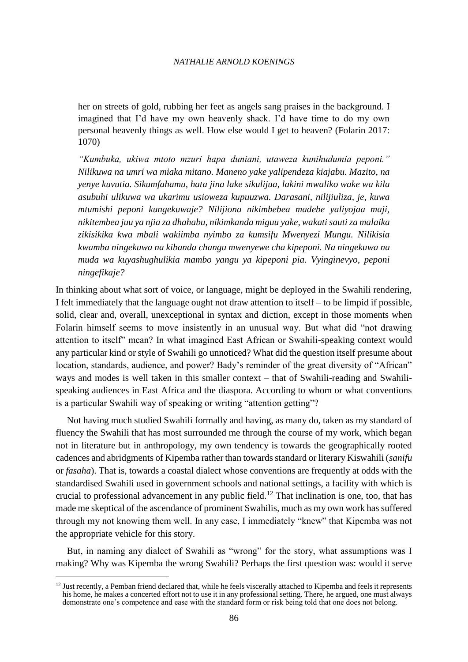her on streets of gold, rubbing her feet as angels sang praises in the background. I imagined that I'd have my own heavenly shack. I'd have time to do my own personal heavenly things as well. How else would I get to heaven? (Folarin 2017: 1070)

*"Kumbuka, ukiwa mtoto mzuri hapa duniani, utaweza kunihudumia peponi." Nilikuwa na umri wa miaka mitano. Maneno yake yalipendeza kiajabu. Mazito, na yenye kuvutia. Sikumfahamu, hata jina lake sikulijua, lakini mwaliko wake wa kila asubuhi ulikuwa wa ukarimu usioweza kupuuzwa. Darasani, nilijiuliza, je, kuwa mtumishi peponi kungekuwaje? Nilijiona nikimbebea madebe yaliyojaa maji, nikitembea juu ya njia za dhahabu, nikimkanda miguu yake, wakati sauti za malaika zikisikika kwa mbali wakiimba nyimbo za kumsifu Mwenyezi Mungu. Nilikisia kwamba ningekuwa na kibanda changu mwenyewe cha kipeponi. Na ningekuwa na muda wa kuyashughulikia mambo yangu ya kipeponi pia. Vyinginevyo, peponi ningefikaje?*

In thinking about what sort of voice, or language, might be deployed in the Swahili rendering, I felt immediately that the language ought not draw attention to itself – to be limpid if possible, solid, clear and, overall, unexceptional in syntax and diction, except in those moments when Folarin himself seems to move insistently in an unusual way. But what did "not drawing attention to itself" mean? In what imagined East African or Swahili-speaking context would any particular kind or style of Swahili go unnoticed? What did the question itself presume about location, standards, audience, and power? Bady's reminder of the great diversity of "African" ways and modes is well taken in this smaller context – that of Swahili-reading and Swahilispeaking audiences in East Africa and the diaspora. According to whom or what conventions is a particular Swahili way of speaking or writing "attention getting"?

Not having much studied Swahili formally and having, as many do, taken as my standard of fluency the Swahili that has most surrounded me through the course of my work, which began not in literature but in anthropology, my own tendency is towards the geographically rooted cadences and abridgments of Kipemba rather than towards standard or literary Kiswahili (*sanifu*  or *fasaha*). That is, towards a coastal dialect whose conventions are frequently at odds with the standardised Swahili used in government schools and national settings, a facility with which is crucial to professional advancement in any public field.<sup>12</sup> That inclination is one, too, that has made me skeptical of the ascendance of prominent Swahilis, much as my own work has suffered through my not knowing them well. In any case, I immediately "knew" that Kipemba was not the appropriate vehicle for this story.

But, in naming any dialect of Swahili as "wrong" for the story, what assumptions was I making? Why was Kipemba the wrong Swahili? Perhaps the first question was: would it serve

<sup>&</sup>lt;sup>12</sup> Just recently, a Pemban friend declared that, while he feels viscerally attached to Kipemba and feels it represents his home, he makes a concerted effort not to use it in any professional setting. There, he argued, one must always demonstrate one's competence and ease with the standard form or risk being told that one does not belong.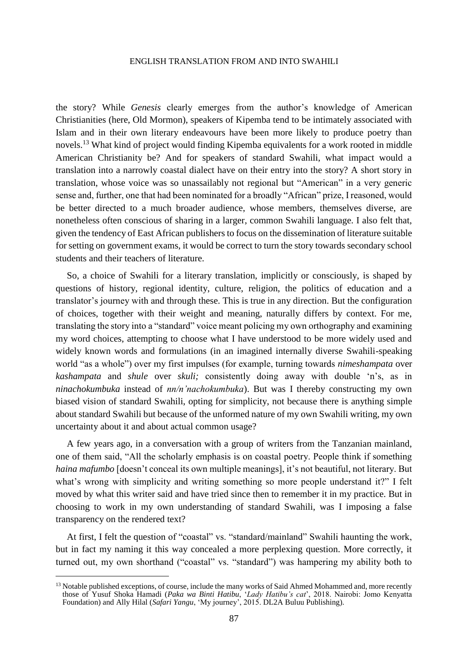the story? While *Genesis* clearly emerges from the author's knowledge of American Christianities (here, Old Mormon), speakers of Kipemba tend to be intimately associated with Islam and in their own literary endeavours have been more likely to produce poetry than novels.<sup>13</sup> What kind of project would finding Kipemba equivalents for a work rooted in middle American Christianity be? And for speakers of standard Swahili, what impact would a translation into a narrowly coastal dialect have on their entry into the story? A short story in translation, whose voice was so unassailably not regional but "American" in a very generic sense and, further, one that had been nominated for a broadly "African" prize, I reasoned, would be better directed to a much broader audience, whose members, themselves diverse, are nonetheless often conscious of sharing in a larger, common Swahili language. I also felt that, given the tendency of East African publishers to focus on the dissemination of literature suitable for setting on government exams, it would be correct to turn the story towards secondary school students and their teachers of literature.

So, a choice of Swahili for a literary translation, implicitly or consciously, is shaped by questions of history, regional identity, culture, religion, the politics of education and a translator's journey with and through these. This is true in any direction. But the configuration of choices, together with their weight and meaning, naturally differs by context. For me, translating the story into a "standard" voice meant policing my own orthography and examining my word choices, attempting to choose what I have understood to be more widely used and widely known words and formulations (in an imagined internally diverse Swahili-speaking world "as a whole") over my first impulses (for example, turning towards *nimeshampata* over *kashampata* and *shule* over *skuli;* consistently doing away with double 'n's, as in *ninachokumbuka* instead of *nn/n'nachokumbuka*). But was I thereby constructing my own biased vision of standard Swahili, opting for simplicity, not because there is anything simple about standard Swahili but because of the unformed nature of my own Swahili writing, my own uncertainty about it and about actual common usage?

A few years ago, in a conversation with a group of writers from the Tanzanian mainland, one of them said, "All the scholarly emphasis is on coastal poetry. People think if something *haina mafumbo* [doesn't conceal its own multiple meanings], it's not beautiful, not literary. But what's wrong with simplicity and writing something so more people understand it?" I felt moved by what this writer said and have tried since then to remember it in my practice. But in choosing to work in my own understanding of standard Swahili, was I imposing a false transparency on the rendered text?

At first, I felt the question of "coastal" vs. "standard/mainland" Swahili haunting the work, but in fact my naming it this way concealed a more perplexing question. More correctly, it turned out, my own shorthand ("coastal" vs. "standard") was hampering my ability both to

<sup>&</sup>lt;sup>13</sup> Notable published exceptions, of course, include the many works of Said Ahmed Mohammed and, more recently those of Yusuf Shoka Hamadi (*Paka wa Binti Hatibu*, '*Lady Hatibu's cat*', 2018. Nairobi: Jomo Kenyatta Foundation) and Ally Hilal (*Safari Yangu*, 'My journey', 2015. DL2A Buluu Publishing).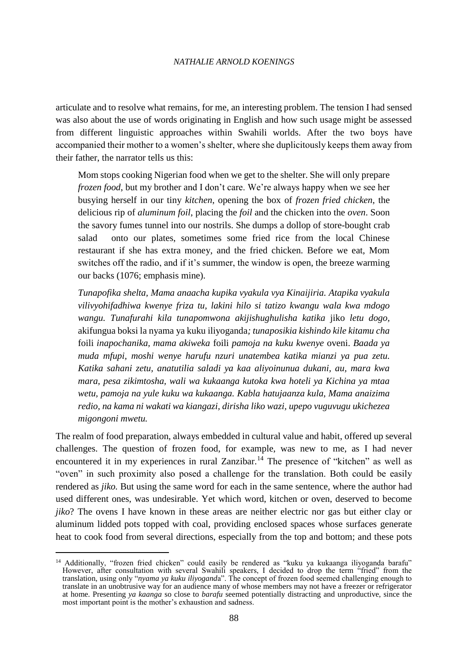articulate and to resolve what remains, for me, an interesting problem. The tension I had sensed was also about the use of words originating in English and how such usage might be assessed from different linguistic approaches within Swahili worlds. After the two boys have accompanied their mother to a women's shelter, where she duplicitously keeps them away from their father, the narrator tells us this:

Mom stops cooking Nigerian food when we get to the shelter. She will only prepare *frozen food*, but my brother and I don't care. We're always happy when we see her busying herself in our tiny *kitchen*, opening the box of *frozen fried chicken*, the delicious rip of *aluminum foil*, placing the *foil* and the chicken into the *oven*. Soon the savory fumes tunnel into our nostrils. She dumps a dollop of store-bought crab salad onto our plates, sometimes some fried rice from the local Chinese restaurant if she has extra money, and the fried chicken. Before we eat, Mom switches off the radio, and if it's summer, the window is open, the breeze warming our backs (1076; emphasis mine).

*Tunapofika shelta, Mama anaacha kupika vyakula vya Kinaijiria. Atapika vyakula vilivyohifadhiwa kwenye friza tu, lakini hilo si tatizo kwangu wala kwa mdogo wangu. Tunafurahi kila tunapomwona akijishughulisha katika* jiko *letu dogo,*  akifungua boksi la nyama ya kuku iliyoganda*; tunaposikia kishindo kile kitamu cha*  foili *inapochanika, mama akiweka* foili *pamoja na kuku kwenye* oveni. *Baada ya muda mfupi, moshi wenye harufu nzuri unatembea katika mianzi ya pua zetu. Katika sahani zetu, anatutilia saladi ya kaa aliyoinunua dukani, au, mara kwa mara, pesa zikimtosha, wali wa kukaanga kutoka kwa hoteli ya Kichina ya mtaa wetu, pamoja na yule kuku wa kukaanga. Kabla hatujaanza kula, Mama anaizima redio, na kama ni wakati wa kiangazi, dirisha liko wazi, upepo vuguvugu ukichezea migongoni mwetu.*

The realm of food preparation, always embedded in cultural value and habit, offered up several challenges. The question of frozen food, for example, was new to me, as I had never encountered it in my experiences in rural Zanzibar.<sup>14</sup> The presence of "kitchen" as well as "oven" in such proximity also posed a challenge for the translation. Both could be easily rendered as *jiko.* But using the same word for each in the same sentence, where the author had used different ones, was undesirable. Yet which word, kitchen or oven, deserved to become *jiko*? The ovens I have known in these areas are neither electric nor gas but either clay or aluminum lidded pots topped with coal, providing enclosed spaces whose surfaces generate heat to cook food from several directions, especially from the top and bottom; and these pots

<sup>&</sup>lt;sup>14</sup> Additionally, "frozen fried chicken" could easily be rendered as "kuku ya kukaanga iliyoganda barafu" However, after consultation with several Swahili speakers, I decided to drop the term "fried" from the translation, using only "*nyama ya kuku iliyogand*a". The concept of frozen food seemed challenging enough to translate in an unobtrusive way for an audience many of whose members may not have a freezer or refrigerator at home. Presenting *ya kaanga* so close to *barafu* seemed potentially distracting and unproductive, since the most important point is the mother's exhaustion and sadness.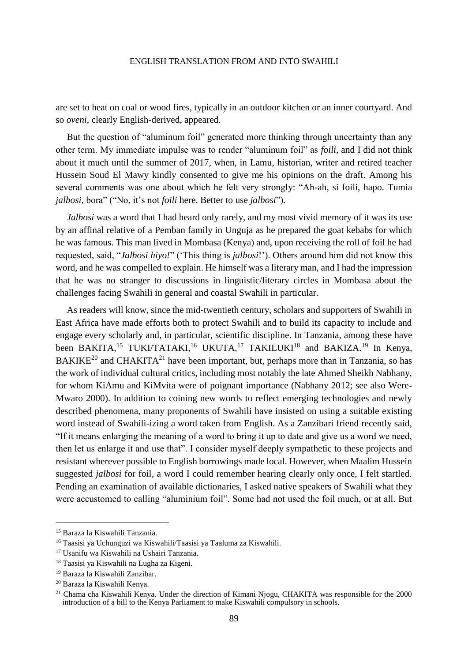are set to heat on coal or wood fires, typically in an outdoor kitchen or an inner courtyard. And so *oveni,* clearly English-derived, appeared.

But the question of "aluminum foil" generated more thinking through uncertainty than any other term. My immediate impulse was to render "aluminum foil" as *foili,* and I did not think about it much until the summer of 2017, when, in Lamu, historian, writer and retired teacher Hussein Soud El Mawy kindly consented to give me his opinions on the draft. Among his several comments was one about which he felt very strongly: "Ah-ah, si foili, hapo. Tumia *jalbosi*, bora" ("No, it's not *foili* here. Better to use *jalbosi*").

*Jalbosi* was a word that I had heard only rarely, and my most vivid memory of it was its use by an affinal relative of a Pemban family in Unguja as he prepared the goat kebabs for which he was famous. This man lived in Mombasa (Kenya) and, upon receiving the roll of foil he had requested, said, "*Jalbosi hiyo!*" ('This thing is *jalbosi*!'). Others around him did not know this word, and he was compelled to explain. He himself was a literary man, and I had the impression that he was no stranger to discussions in linguistic/literary circles in Mombasa about the challenges facing Swahili in general and coastal Swahili in particular.

As readers will know, since the mid-twentieth century, scholars and supporters of Swahili in East Africa have made efforts both to protect Swahili and to build its capacity to include and engage every scholarly and, in particular, scientific discipline. In Tanzania, among these have been BAKITA,<sup>15</sup> TUKI/TATAKI,<sup>16</sup> UKUTA,<sup>17</sup> TAKILUKI<sup>18</sup> and BAKIZA.<sup>19</sup> In Kenya,  $BAKIKE<sup>20</sup>$  and CHAKITA<sup>21</sup> have been important, but, perhaps more than in Tanzania, so has the work of individual cultural critics, including most notably the late Ahmed Sheikh Nabhany, for whom KiAmu and KiMvita were of poignant importance (Nabhany 2012; see also Were-Mwaro 2000). In addition to coining new words to reflect emerging technologies and newly described phenomena, many proponents of Swahili have insisted on using a suitable existing word instead of Swahili-izing a word taken from English. As a Zanzibari friend recently said, "If it means enlarging the meaning of a word to bring it up to date and give us a word we need, then let us enlarge it and use that". I consider myself deeply sympathetic to these projects and resistant wherever possible to English borrowings made local. However, when Maalim Hussein suggested *jalbosi* for foil, a word I could remember hearing clearly only once, I felt startled. Pending an examination of available dictionaries, I asked native speakers of Swahili what they were accustomed to calling "aluminium foil". Some had not used the foil much, or at all. But

<sup>15</sup> Baraza la Kiswahili Tanzania.

<sup>16</sup> Taasisi ya Uchunguzi wa Kiswahili/Taasisi ya Taaluma za Kiswahili.

<sup>17</sup> Usanifu wa Kiswahili na Ushairi Tanzania.

<sup>18</sup> Taasisi ya Kiswahili na Lugha za Kigeni.

<sup>19</sup> Baraza la Kiswahili Zanzibar.

<sup>20</sup> Baraza la Kiswahili Kenya.

<sup>21</sup> Chama cha Kiswahili Kenya. Under the direction of Kimani Njogu, CHAKITA was responsible for the 2000 introduction of a bill to the Kenya Parliament to make Kiswahili compulsory in schools.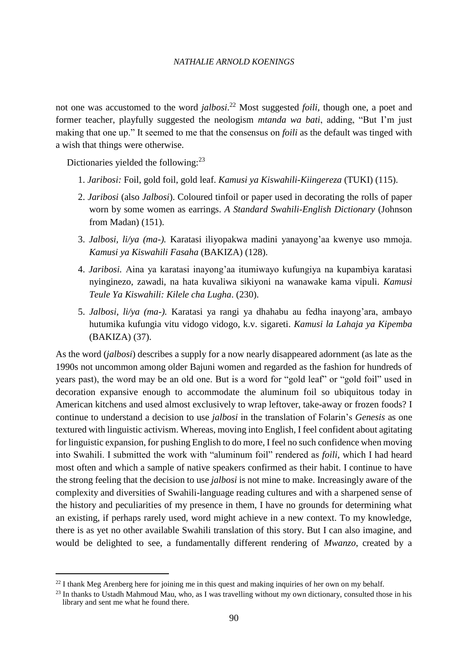not one was accustomed to the word *jalbosi*. <sup>22</sup> Most suggested *foili,* though one, a poet and former teacher, playfully suggested the neologism *mtanda wa bati*, adding, "But I'm just making that one up." It seemed to me that the consensus on *foili* as the default was tinged with a wish that things were otherwise.

Dictionaries yielded the following: $^{23}$ 

l

- 1. *Jaribosi:* Foil, gold foil, gold leaf. *Kamusi ya Kiswahili-Kiingereza* (TUKI) (115).
- 2. *Jaribosi* (also *Jalbosi*). Coloured tinfoil or paper used in decorating the rolls of paper worn by some women as earrings. *A Standard Swahili-English Dictionary* (Johnson from Madan) (151).
- 3. *Jalbosi, li/ya (ma-).* Karatasi iliyopakwa madini yanayong'aa kwenye uso mmoja. *Kamusi ya Kiswahili Fasaha* (BAKIZA) (128).
- 4. *Jaribosi.* Aina ya karatasi inayong'aa itumiwayo kufungiya na kupambiya karatasi nyinginezo, zawadi, na hata kuvaliwa sikiyoni na wanawake kama vipuli. *Kamusi Teule Ya Kiswahili: Kilele cha Lugha*. (230).
- 5. *Jalbosi, li/ya (ma-).* Karatasi ya rangi ya dhahabu au fedha inayong'ara, ambayo hutumika kufungia vitu vidogo vidogo, k.v. sigareti. *Kamusi la Lahaja ya Kipemba* (BAKIZA) (37).

As the word (*jalbosi*) describes a supply for a now nearly disappeared adornment (as late as the 1990s not uncommon among older Bajuni women and regarded as the fashion for hundreds of years past), the word may be an old one. But is a word for "gold leaf" or "gold foil" used in decoration expansive enough to accommodate the aluminum foil so ubiquitous today in American kitchens and used almost exclusively to wrap leftover, take-away or frozen foods? I continue to understand a decision to use *jalbosi* in the translation of Folarin's *Genesis* as one textured with linguistic activism. Whereas, moving into English, I feel confident about agitating for linguistic expansion, for pushing English to do more, I feel no such confidence when moving into Swahili. I submitted the work with "aluminum foil" rendered as *foili,* which I had heard most often and which a sample of native speakers confirmed as their habit. I continue to have the strong feeling that the decision to use *jalbosi* is not mine to make. Increasingly aware of the complexity and diversities of Swahili-language reading cultures and with a sharpened sense of the history and peculiarities of my presence in them, I have no grounds for determining what an existing, if perhaps rarely used, word might achieve in a new context. To my knowledge, there is as yet no other available Swahili translation of this story. But I can also imagine, and would be delighted to see, a fundamentally different rendering of *Mwanzo*, created by a

 $^{22}$  I thank Meg Arenberg here for joining me in this quest and making inquiries of her own on my behalf.

<sup>&</sup>lt;sup>23</sup> In thanks to Ustadh Mahmoud Mau, who, as I was travelling without my own dictionary, consulted those in his library and sent me what he found there.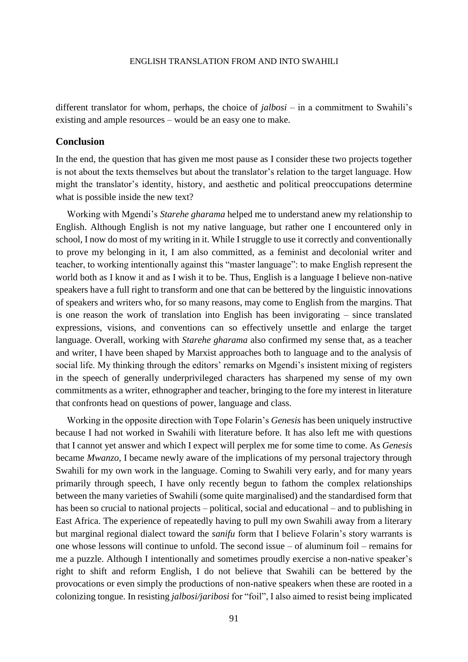different translator for whom, perhaps, the choice of *jalbosi –* in a commitment to Swahili's existing and ample resources – would be an easy one to make.

# **Conclusion**

In the end, the question that has given me most pause as I consider these two projects together is not about the texts themselves but about the translator's relation to the target language. How might the translator's identity, history, and aesthetic and political preoccupations determine what is possible inside the new text?

Working with Mgendi's *Starehe gharama* helped me to understand anew my relationship to English. Although English is not my native language, but rather one I encountered only in school, I now do most of my writing in it. While I struggle to use it correctly and conventionally to prove my belonging in it, I am also committed, as a feminist and decolonial writer and teacher, to working intentionally against this "master language": to make English represent the world both as I know it and as I wish it to be. Thus, English is a language I believe non-native speakers have a full right to transform and one that can be bettered by the linguistic innovations of speakers and writers who, for so many reasons, may come to English from the margins. That is one reason the work of translation into English has been invigorating – since translated expressions, visions, and conventions can so effectively unsettle and enlarge the target language. Overall, working with *Starehe gharama* also confirmed my sense that, as a teacher and writer, I have been shaped by Marxist approaches both to language and to the analysis of social life. My thinking through the editors' remarks on Mgendi's insistent mixing of registers in the speech of generally underprivileged characters has sharpened my sense of my own commitments as a writer, ethnographer and teacher, bringing to the fore my interest in literature that confronts head on questions of power, language and class.

Working in the opposite direction with Tope Folarin's *Genesis* has been uniquely instructive because I had not worked in Swahili with literature before. It has also left me with questions that I cannot yet answer and which I expect will perplex me for some time to come. As *Genesis*  became *Mwanzo,* I became newly aware of the implications of my personal trajectory through Swahili for my own work in the language. Coming to Swahili very early, and for many years primarily through speech, I have only recently begun to fathom the complex relationships between the many varieties of Swahili (some quite marginalised) and the standardised form that has been so crucial to national projects – political, social and educational – and to publishing in East Africa. The experience of repeatedly having to pull my own Swahili away from a literary but marginal regional dialect toward the *sanifu* form that I believe Folarin's story warrants is one whose lessons will continue to unfold. The second issue – of aluminum foil – remains for me a puzzle. Although I intentionally and sometimes proudly exercise a non-native speaker's right to shift and reform English, I do not believe that Swahili can be bettered by the provocations or even simply the productions of non-native speakers when these are rooted in a colonizing tongue. In resisting *jalbosi/jaribosi* for "foil", I also aimed to resist being implicated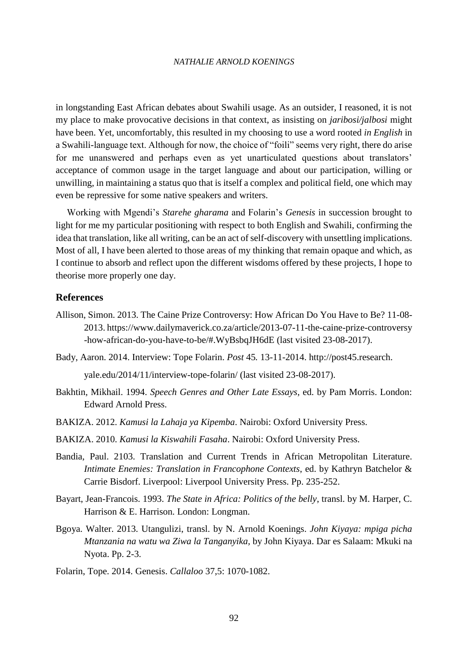in longstanding East African debates about Swahili usage. As an outsider, I reasoned, it is not my place to make provocative decisions in that context, as insisting on *jaribosi/jalbosi* might have been. Yet, uncomfortably, this resulted in my choosing to use a word rooted *in English* in a Swahili-language text. Although for now, the choice of "foili" seems very right, there do arise for me unanswered and perhaps even as yet unarticulated questions about translators' acceptance of common usage in the target language and about our participation, willing or unwilling, in maintaining a status quo that is itself a complex and political field, one which may even be repressive for some native speakers and writers.

Working with Mgendi's *Starehe gharama* and Folarin's *Genesis* in succession brought to light for me my particular positioning with respect to both English and Swahili, confirming the idea that translation, like all writing, can be an act of self-discovery with unsettling implications. Most of all, I have been alerted to those areas of my thinking that remain opaque and which, as I continue to absorb and reflect upon the different wisdoms offered by these projects, I hope to theorise more properly one day.

# **References**

- Allison, Simon. 2013. The Caine Prize Controversy: How African Do You Have to Be? 11-08- 2013. https://www.dailymaverick.co.za/article/2013-07-11-the-caine-prize-controversy -how-african-do-you-have-to-be/#.WyBsbqJH6dE (last visited 23-08-2017).
- Bady, Aaron. 2014. Interview: Tope Folarin. *Post* 45*.* 13-11-2014. http://post45.research.

yale.edu/2014/11/interview-tope-folarin/ (last visited 23-08-2017).

- Bakhtin, Mikhail. 1994. *Speech Genres and Other Late Essays*, ed. by Pam Morris. London: Edward Arnold Press.
- BAKIZA. 2012. *Kamusi la Lahaja ya Kipemba*. Nairobi: Oxford University Press.
- BAKIZA. 2010. *Kamusi la Kiswahili Fasaha*. Nairobi: Oxford University Press.
- Bandia, Paul. 2103. Translation and Current Trends in African Metropolitan Literature. *Intimate Enemies: Translation in Francophone Contexts*, ed. by Kathryn Batchelor & Carrie Bisdorf. Liverpool: Liverpool University Press. Pp. 235-252.
- Bayart, Jean-Francois. 1993. *The State in Africa: Politics of the belly*, transl. by M. Harper, C. Harrison & E. Harrison. London: Longman.
- Bgoya. Walter. 2013. Utangulizi, transl. by N. Arnold Koenings. *John Kiyaya: mpiga picha Mtanzania na watu wa Ziwa la Tanganyika,* by John Kiyaya. Dar es Salaam: Mkuki na Nyota. Pp. 2-3.
- Folarin, Tope. 2014. Genesis. *Callaloo* 37,5: 1070-1082.